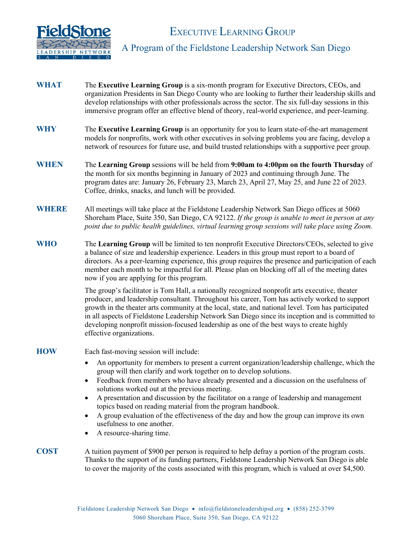

# EXECUTIVE LEARNING GROUP

## A Program of the Fieldstone Leadership Network San Diego

- WHAT The Executive Learning Group is a six-month program for Executive Directors, CEOs, and organization Presidents in San Diego County who are looking to further their leadership skills and develop relationships with other professionals across the sector. The six full-day sessions in this immersive program offer an effective blend of theory, real-world experience, and peer-learning.
- **WHY** The **Executive Learning Group** is an opportunity for you to learn state-of-the-art management models for nonprofits, work with other executives in solving problems you are facing, develop a network of resources for future use, and build trusted relationships with a supportive peer group.
- **WHEN** The **Learning Group** sessions will be held from **9:00am to 4:00pm on the fourth Thursday** of the month for six months beginning in January of 2023 and continuing through June. The program dates are: January 26, February 23, March 23, April 27, May 25, and June 22 of 2023. Coffee, drinks, snacks, and lunch will be provided.
- **WHERE** All meetings will take place at the Fieldstone Leadership Network San Diego offices at 5060 Shoreham Place, Suite 350, San Diego, CA 92122. *If the group is unable to meet in person at any point due to public health guidelines, virtual learning group sessions will take place using Zoom.*
- **WHO** The **Learning Group** will be limited to ten nonprofit Executive Directors/CEOs, selected to give a balance of size and leadership experience. Leaders in this group must report to a board of directors. As a peer-learning experience, this group requires the presence and participation of each member each month to be impactful for all. Please plan on blocking off all of the meeting dates now if you are applying for this program.

The group's facilitator is Tom Hall, a nationally recognized nonprofit arts executive, theater producer, and leadership consultant. Throughout his career, Tom has actively worked to support growth in the theater arts community at the local, state, and national level. Tom has participated in all aspects of Fieldstone Leadership Network San Diego since its inception and is committed to developing nonprofit mission-focused leadership as one of the best ways to create highly effective organizations.

**HOW** Each fast-moving session will include:

- An opportunity for members to present a current organization/leadership challenge, which the group will then clarify and work together on to develop solutions.
- Feedback from members who have already presented and a discussion on the usefulness of solutions worked out at the previous meeting.
- A presentation and discussion by the facilitator on a range of leadership and management topics based on reading material from the program handbook.
- A group evaluation of the effectiveness of the day and how the group can improve its own usefulness to one another.
- A resource-sharing time.

#### **COST** A tuition payment of \$900 per person is required to help defray a portion of the program costs. Thanks to the support of its funding partners, Fieldstone Leadership Network San Diego is able to cover the majority of the costs associated with this program, which is valued at over \$4,500.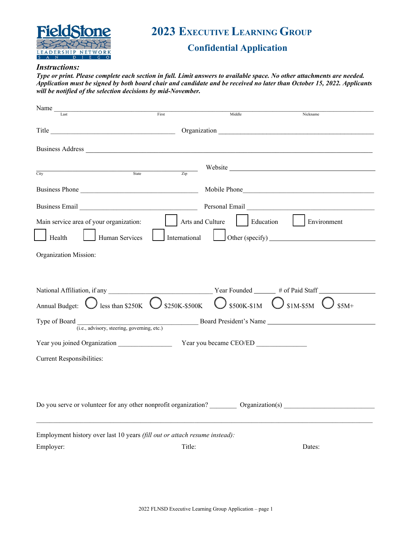

# **2023 EXECUTIVE LEARNING GROUP**

# **Confidential Application**

#### *Instructions:*

*Type or print. Please complete each section in full. Limit answers to available space. No other attachments are needed. Application must be signed by both board chair and candidate and be received no later than October 15, 2022. Applicants will be notified of the selection decisions by mid-November.*

| Name $_{-}$                                                                |                                                                                                                                                                                                                                |                                           |                                                                    |  |  |  |
|----------------------------------------------------------------------------|--------------------------------------------------------------------------------------------------------------------------------------------------------------------------------------------------------------------------------|-------------------------------------------|--------------------------------------------------------------------|--|--|--|
| Last                                                                       | First                                                                                                                                                                                                                          | Middle                                    | Nickname                                                           |  |  |  |
|                                                                            | Title Communication Communication Communication Communication Communication Communication Communication Communication Communication Communication Communication Communication Communication Communication Communication Commun |                                           |                                                                    |  |  |  |
|                                                                            |                                                                                                                                                                                                                                |                                           |                                                                    |  |  |  |
|                                                                            |                                                                                                                                                                                                                                |                                           |                                                                    |  |  |  |
| City                                                                       | State <b>7</b> in                                                                                                                                                                                                              |                                           | Website                                                            |  |  |  |
| Business Phone                                                             |                                                                                                                                                                                                                                |                                           | Mobile Phone                                                       |  |  |  |
|                                                                            | Business Email                                                                                                                                                                                                                 |                                           |                                                                    |  |  |  |
| Main service area of your organization:                                    | Arts and Culture                                                                                                                                                                                                               | $\vert$ Education                         | Environment                                                        |  |  |  |
| Health<br>Human Services                                                   | International                                                                                                                                                                                                                  |                                           |                                                                    |  |  |  |
| Organization Mission:                                                      |                                                                                                                                                                                                                                |                                           |                                                                    |  |  |  |
|                                                                            |                                                                                                                                                                                                                                |                                           |                                                                    |  |  |  |
|                                                                            |                                                                                                                                                                                                                                |                                           |                                                                    |  |  |  |
|                                                                            |                                                                                                                                                                                                                                |                                           |                                                                    |  |  |  |
| Annual Budget: $\bigcup$ less than \$250K $\bigcup$ \$250K-\$500K          |                                                                                                                                                                                                                                | $\bigcup$ \$500K-\$1M $\bigcup$ \$1M-\$5M | $$5M+$                                                             |  |  |  |
| Type of Board                                                              |                                                                                                                                                                                                                                |                                           | (i.e., advisory, steering, governing, etc.) Board President's Name |  |  |  |
|                                                                            |                                                                                                                                                                                                                                | Year you became CEO/ED                    |                                                                    |  |  |  |
|                                                                            |                                                                                                                                                                                                                                |                                           |                                                                    |  |  |  |
| <b>Current Responsibilities:</b>                                           |                                                                                                                                                                                                                                |                                           |                                                                    |  |  |  |
|                                                                            |                                                                                                                                                                                                                                |                                           |                                                                    |  |  |  |
|                                                                            |                                                                                                                                                                                                                                |                                           |                                                                    |  |  |  |
| Do you serve or volunteer for any other nonprofit organization?            |                                                                                                                                                                                                                                | Organization(s)                           |                                                                    |  |  |  |
| Employment history over last 10 years (fill out or attach resume instead): |                                                                                                                                                                                                                                |                                           |                                                                    |  |  |  |
| Employer:                                                                  | Title:                                                                                                                                                                                                                         |                                           | Dates:                                                             |  |  |  |
|                                                                            |                                                                                                                                                                                                                                |                                           |                                                                    |  |  |  |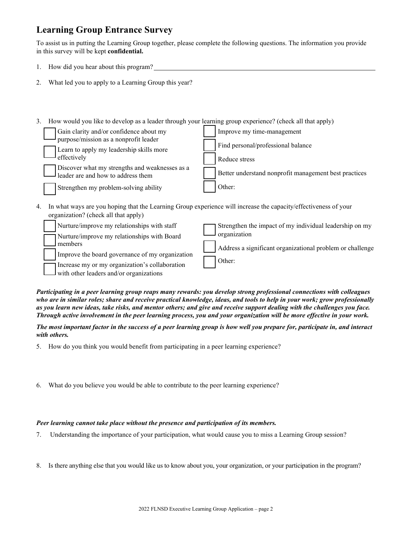# **Learning Group Entrance Survey**

To assist us in putting the Learning Group together, please complete the following questions. The information you provide in this survey will be kept **confidential.**

- 1. How did you hear about this program?
- 2. What led you to apply to a Learning Group this year?
- 3. How would you like to develop as a leader through your learning group experience? (check all that apply)

| Gain clarity and/or confidence about my                                              | Improve my time-management                            |
|--------------------------------------------------------------------------------------|-------------------------------------------------------|
| purpose/mission as a nonprofit leader<br>Learn to apply my leadership skills more    | Find personal/professional balance                    |
| effectively                                                                          | Reduce stress                                         |
| Discover what my strengths and weaknesses as a<br>leader are and how to address them | Better understand nonprofit management best practices |
| Strengthen my problem-solving ability                                                | Other:                                                |
|                                                                                      |                                                       |

4. In what ways are you hoping that the Learning Group experience will increase the capacity/effectiveness of your organization? (check all that apply)

| Nurture/improve my relationships with staff     | Strengthen the impact of my individual leadership on my   |
|-------------------------------------------------|-----------------------------------------------------------|
| Nurture/improve my relationships with Board     | organization                                              |
| l members                                       | Address a significant organizational problem or challenge |
| Improve the board governance of my organization |                                                           |
| Increase my or my organization's collaboration  | Other:                                                    |
| $\Box$ with other leaders and/or organizations  |                                                           |

*Participating in a peer learning group reaps many rewards: you develop strong professional connections with colleagues who are in similar roles; share and receive practical knowledge, ideas, and tools to help in your work; grow professionally as you learn new ideas, take risks, and mentor others; and give and receive support dealing with the challenges you face. Through active involvement in the peer learning process, you and your organization will be more effective in your work.*

*The most important factor in the success of a peer learning group is how well you prepare for, participate in, and interact with others.* 

- 5. How do you think you would benefit from participating in a peer learning experience?
- 6. What do you believe you would be able to contribute to the peer learning experience?

### *Peer learning cannot take place without the presence and participation of its members.*

- 7. Understanding the importance of your participation, what would cause you to miss a Learning Group session?
- 8. Is there anything else that you would like us to know about you, your organization, or your participation in the program?